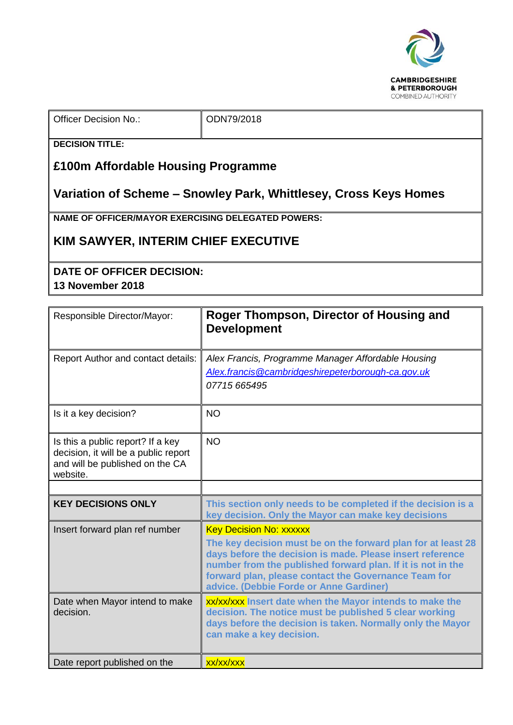

 $\therefore$  ODN79/2018

**DECISION TITLE:**

## **£100m Affordable Housing Programme**

## **Variation of Scheme – Snowley Park, Whittlesey, Cross Keys Homes**

**NAME OF OFFICER/MAYOR EXERCISING DELEGATED POWERS:**

## **KIM SAWYER, INTERIM CHIEF EXECUTIVE**

## **DATE OF OFFICER DECISION: 13 November 2018**

| Responsible Director/Mayor:                                                                                              | Roger Thompson, Director of Housing and<br><b>Development</b>                                                                                                                                                                                                                                                                 |
|--------------------------------------------------------------------------------------------------------------------------|-------------------------------------------------------------------------------------------------------------------------------------------------------------------------------------------------------------------------------------------------------------------------------------------------------------------------------|
| Report Author and contact details:                                                                                       | Alex Francis, Programme Manager Affordable Housing<br>Alex.francis@cambridgeshirepeterborough-ca.gov.uk<br>07715 665495                                                                                                                                                                                                       |
| Is it a key decision?                                                                                                    | <b>NO</b>                                                                                                                                                                                                                                                                                                                     |
| Is this a public report? If a key<br>decision, it will be a public report<br>and will be published on the CA<br>website. | <b>NO</b>                                                                                                                                                                                                                                                                                                                     |
|                                                                                                                          |                                                                                                                                                                                                                                                                                                                               |
| <b>KEY DECISIONS ONLY</b>                                                                                                | This section only needs to be completed if the decision is a<br>key decision. Only the Mayor can make key decisions                                                                                                                                                                                                           |
| Insert forward plan ref number                                                                                           | <b>Key Decision No: XXXXXX</b><br>The key decision must be on the forward plan for at least 28<br>days before the decision is made. Please insert reference<br>number from the published forward plan. If it is not in the<br>forward plan, please contact the Governance Team for<br>advice. (Debbie Forde or Anne Gardiner) |
| Date when Mayor intend to make<br>decision.                                                                              | xx/xx/xxx Insert date when the Mayor intends to make the<br>decision. The notice must be published 5 clear working<br>days before the decision is taken. Normally only the Mayor<br>can make a key decision.                                                                                                                  |
| Date report published on the                                                                                             | xx/xx/xxx                                                                                                                                                                                                                                                                                                                     |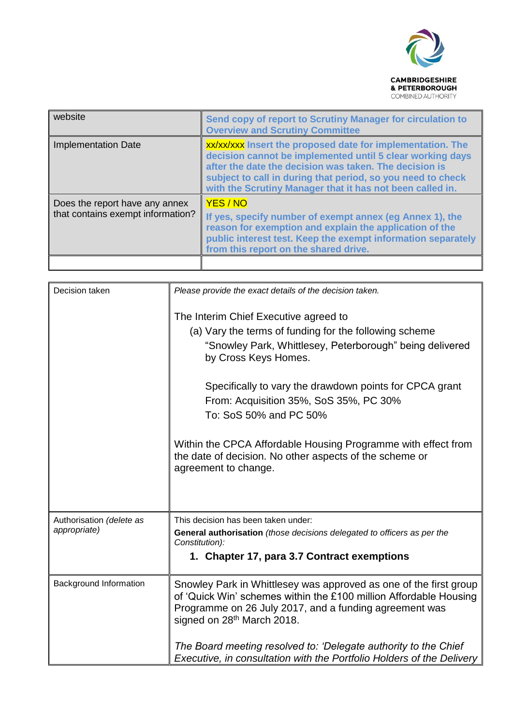

| website                                                             | Send copy of report to Scrutiny Manager for circulation to<br><b>Overview and Scrutiny Committee</b>                                                                                                                                                                                                          |  |
|---------------------------------------------------------------------|---------------------------------------------------------------------------------------------------------------------------------------------------------------------------------------------------------------------------------------------------------------------------------------------------------------|--|
| <b>Implementation Date</b>                                          | xx/xx/xxx Insert the proposed date for implementation. The<br>decision cannot be implemented until 5 clear working days<br>after the date the decision was taken. The decision is<br>subject to call in during that period, so you need to check<br>with the Scrutiny Manager that it has not been called in. |  |
| Does the report have any annex<br>that contains exempt information? | YES / NO<br>If yes, specify number of exempt annex (eg Annex 1), the<br>reason for exemption and explain the application of the<br>public interest test. Keep the exempt information separately<br>from this report on the shared drive.                                                                      |  |
|                                                                     |                                                                                                                                                                                                                                                                                                               |  |

| Decision taken                           | Please provide the exact details of the decision taken.                                                                                                                                                                                    |
|------------------------------------------|--------------------------------------------------------------------------------------------------------------------------------------------------------------------------------------------------------------------------------------------|
|                                          | The Interim Chief Executive agreed to<br>(a) Vary the terms of funding for the following scheme<br>"Snowley Park, Whittlesey, Peterborough" being delivered<br>by Cross Keys Homes.                                                        |
|                                          | Specifically to vary the drawdown points for CPCA grant<br>From: Acquisition 35%, SoS 35%, PC 30%<br>To: SoS 50% and PC 50%                                                                                                                |
|                                          | Within the CPCA Affordable Housing Programme with effect from<br>the date of decision. No other aspects of the scheme or<br>agreement to change.                                                                                           |
| Authorisation (delete as<br>appropriate) | This decision has been taken under:<br>General authorisation (those decisions delegated to officers as per the<br>Constitution):<br>1. Chapter 17, para 3.7 Contract exemptions                                                            |
| Background Information                   | Snowley Park in Whittlesey was approved as one of the first group<br>of 'Quick Win' schemes within the £100 million Affordable Housing<br>Programme on 26 July 2017, and a funding agreement was<br>signed on 28 <sup>th</sup> March 2018. |
|                                          | The Board meeting resolved to: 'Delegate authority to the Chief<br>Executive, in consultation with the Portfolio Holders of the Delivery                                                                                                   |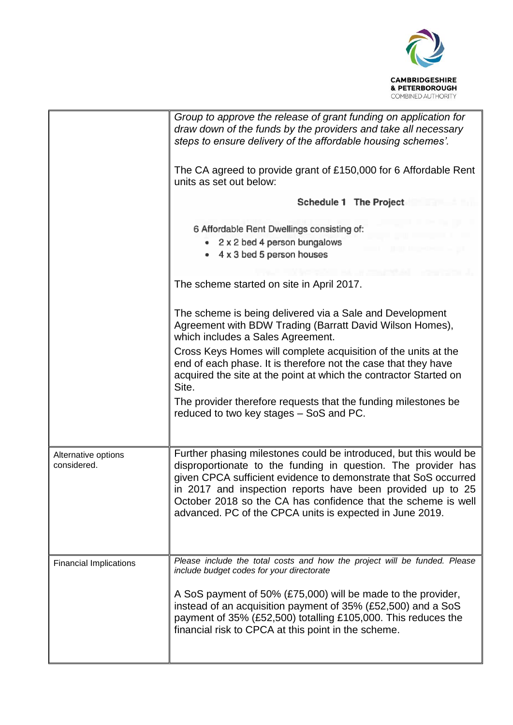

|                                    | Group to approve the release of grant funding on application for<br>draw down of the funds by the providers and take all necessary<br>steps to ensure delivery of the affordable housing schemes'.                                                                                                                                                                                               |  |  |
|------------------------------------|--------------------------------------------------------------------------------------------------------------------------------------------------------------------------------------------------------------------------------------------------------------------------------------------------------------------------------------------------------------------------------------------------|--|--|
|                                    | The CA agreed to provide grant of £150,000 for 6 Affordable Rent<br>units as set out below:                                                                                                                                                                                                                                                                                                      |  |  |
|                                    | Schedule 1 The Project                                                                                                                                                                                                                                                                                                                                                                           |  |  |
|                                    | 6 Affordable Rent Dwellings consisting of:<br>• 2 x 2 bed 4 person bungalows<br>4 x 3 bed 5 person houses                                                                                                                                                                                                                                                                                        |  |  |
|                                    | The scheme started on site in April 2017.                                                                                                                                                                                                                                                                                                                                                        |  |  |
|                                    | The scheme is being delivered via a Sale and Development<br>Agreement with BDW Trading (Barratt David Wilson Homes),<br>which includes a Sales Agreement.                                                                                                                                                                                                                                        |  |  |
|                                    | Cross Keys Homes will complete acquisition of the units at the<br>end of each phase. It is therefore not the case that they have<br>acquired the site at the point at which the contractor Started on<br>Site.                                                                                                                                                                                   |  |  |
|                                    | The provider therefore requests that the funding milestones be<br>reduced to two key stages – SoS and PC.                                                                                                                                                                                                                                                                                        |  |  |
| Alternative options<br>considered. | Further phasing milestones could be introduced, but this would be<br>disproportionate to the funding in question. The provider has<br>given CPCA sufficient evidence to demonstrate that SoS occurred<br>in 2017 and inspection reports have been provided up to 25<br>October 2018 so the CA has confidence that the scheme is well<br>advanced. PC of the CPCA units is expected in June 2019. |  |  |
| <b>Financial Implications</b>      | Please include the total costs and how the project will be funded. Please<br>include budget codes for your directorate                                                                                                                                                                                                                                                                           |  |  |
|                                    | A SoS payment of 50% (£75,000) will be made to the provider,<br>instead of an acquisition payment of 35% (£52,500) and a SoS<br>payment of 35% (£52,500) totalling £105,000. This reduces the<br>financial risk to CPCA at this point in the scheme.                                                                                                                                             |  |  |
|                                    |                                                                                                                                                                                                                                                                                                                                                                                                  |  |  |